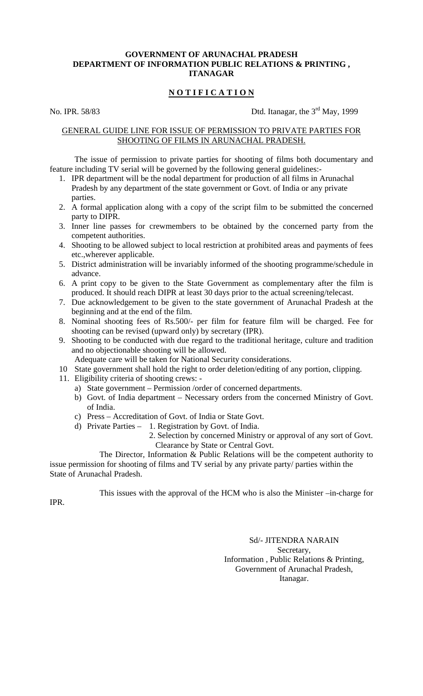## **GOVERNMENT OF ARUNACHAL PRADESH DEPARTMENT OF INFORMATION PUBLIC RELATIONS & PRINTING , ITANAGAR**

# **N O T I F I C A T I O N**

No. IPR. 58/83 Dtd. Itanagar, the  $3<sup>rd</sup>$  May, 1999

### GENERAL GUIDE LINE FOR ISSUE OF PERMISSION TO PRIVATE PARTIES FOR SHOOTING OF FILMS IN ARUNACHAL PRADESH.

 The issue of permission to private parties for shooting of films both documentary and feature including TV serial will be governed by the following general guidelines:-

- 1. IPR department will be the nodal department for production of all films in Arunachal Pradesh by any department of the state government or Govt. of India or any private parties.
- 2. A formal application along with a copy of the script film to be submitted the concerned party to DIPR.
- 3. Inner line passes for crewmembers to be obtained by the concerned party from the competent authorities.
- 4. Shooting to be allowed subject to local restriction at prohibited areas and payments of fees etc.,wherever applicable.
- 5. District administration will be invariably informed of the shooting programme/schedule in advance.
- 6. A print copy to be given to the State Government as complementary after the film is produced. It should reach DIPR at least 30 days prior to the actual screening/telecast.
- 7. Due acknowledgement to be given to the state government of Arunachal Pradesh at the beginning and at the end of the film.
- 8. Nominal shooting fees of Rs.500/- per film for feature film will be charged. Fee for shooting can be revised (upward only) by secretary (IPR).
- 9. Shooting to be conducted with due regard to the traditional heritage, culture and tradition and no objectionable shooting will be allowed.
	- Adequate care will be taken for National Security considerations.
- 10 State government shall hold the right to order deletion/editing of any portion, clipping.
- 11. Eligibility criteria of shooting crews:
	- a) State government Permission /order of concerned departments.
	- b) Govt. of India department Necessary orders from the concerned Ministry of Govt. of India.
	- c) Press Accreditation of Govt. of India or State Govt.
	- d) Private Parties 1. Registration by Govt. of India.
		- 2. Selection by concerned Ministry or approval of any sort of Govt. Clearance by State or Central Govt.

 The Director, Information & Public Relations will be the competent authority to issue permission for shooting of films and TV serial by any private party/ parties within the State of Arunachal Pradesh.

This issues with the approval of the HCM who is also the Minister –in-charge for

IPR.

 Sd/- JITENDRA NARAIN Secretary, Information , Public Relations & Printing, Government of Arunachal Pradesh, Itanagar.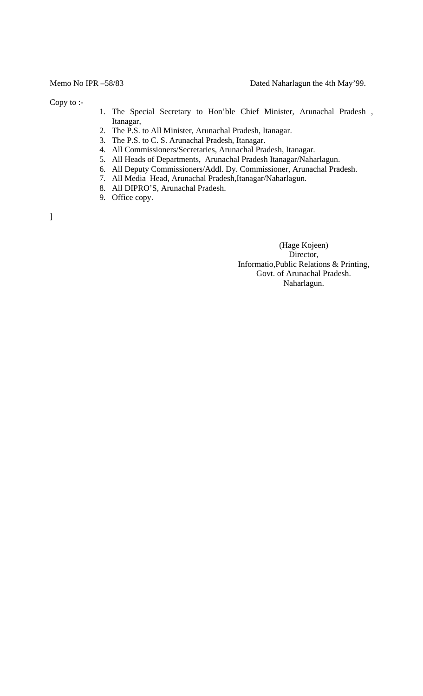Copy to :-

- 1. The Special Secretary to Hon'ble Chief Minister, Arunachal Pradesh , Itanagar,
- 2. The P.S. to All Minister, Arunachal Pradesh, Itanagar.
- 3. The P.S. to C. S. Arunachal Pradesh, Itanagar.
- 4. All Commissioners/Secretaries, Arunachal Pradesh, Itanagar.
- 5. All Heads of Departments, Arunachal Pradesh Itanagar/Naharlagun.
- 6. All Deputy Commissioners/Addl. Dy. Commissioner, Arunachal Pradesh.
- 7. All Media Head, Arunachal Pradesh,Itanagar/Naharlagun.
- 8. All DIPRO'S, Arunachal Pradesh.
- 9. Office copy.

]

 (Hage Kojeen) Director, Informatio,Public Relations & Printing, Govt. of Arunachal Pradesh. Naharlagun.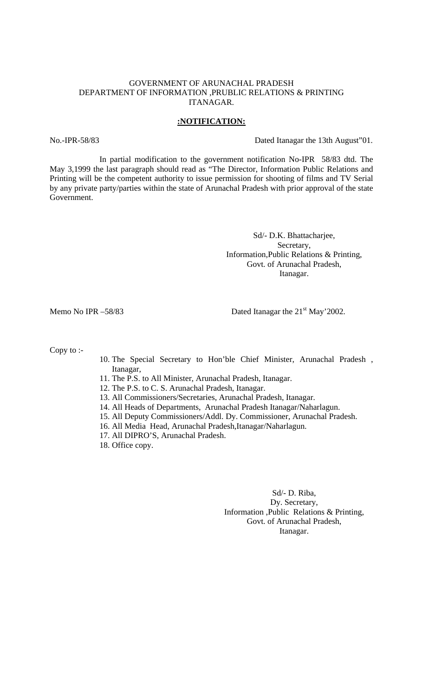#### GOVERNMENT OF ARUNACHAL PRADESH DEPARTMENT OF INFORMATION ,PRUBLIC RELATIONS & PRINTING ITANAGAR.

#### **:NOTIFICATION:**

No.-IPR-58/83 Dated Itanagar the 13th August"01.

In partial modification to the government notification No-IPR 58/83 dtd. The May 3,1999 the last paragraph should read as "The Director, Information Public Relations and Printing will be the competent authority to issue permission for shooting of films and TV Serial by any private party/parties within the state of Arunachal Pradesh with prior approval of the state Government.

> Sd/- D.K. Bhattacharjee, Secretary, Information,Public Relations & Printing, Govt. of Arunachal Pradesh, Itanagar.

Memo No IPR  $-58/83$  Dated Itanagar the  $21<sup>st</sup>$  May'2002.

Copy to :-

- 10. The Special Secretary to Hon'ble Chief Minister, Arunachal Pradesh , Itanagar,
- 11. The P.S. to All Minister, Arunachal Pradesh, Itanagar.
- 12. The P.S. to C. S. Arunachal Pradesh, Itanagar.
- 13. All Commissioners/Secretaries, Arunachal Pradesh, Itanagar.
- 14. All Heads of Departments, Arunachal Pradesh Itanagar/Naharlagun.
- 15. All Deputy Commissioners/Addl. Dy. Commissioner, Arunachal Pradesh.
- 16. All Media Head, Arunachal Pradesh,Itanagar/Naharlagun.
- 17. All DIPRO'S, Arunachal Pradesh.

18. Office copy.

Sd/- D. Riba, Dy. Secretary, Information ,Public Relations & Printing, Govt. of Arunachal Pradesh, Itanagar.